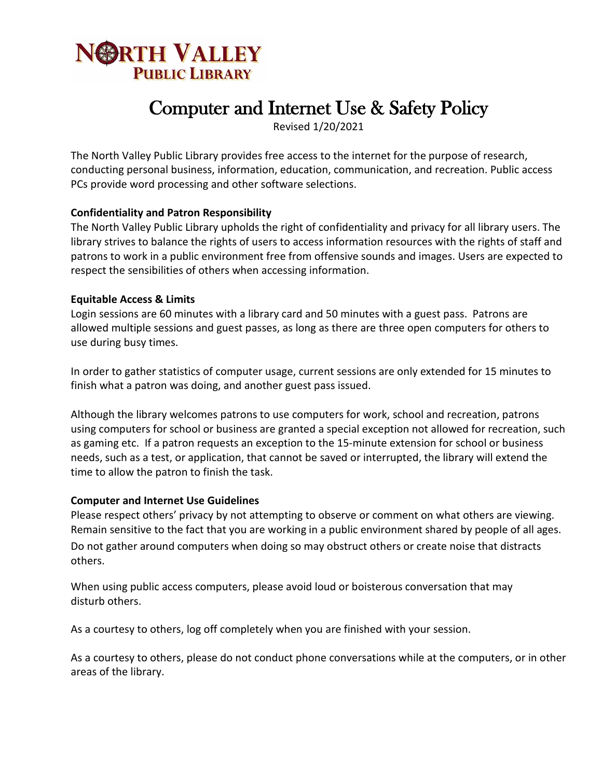

# Computer and Internet Use & Safety Policy

Revised 1/20/2021

The North Valley Public Library provides free access to the internet for the purpose of research, conducting personal business, information, education, communication, and recreation. Public access PCs provide word processing and other software selections.

## **Confidentiality and Patron Responsibility**

The North Valley Public Library upholds the right of confidentiality and privacy for all library users. The library strives to balance the rights of users to access information resources with the rights of staff and patrons to work in a public environment free from offensive sounds and images. Users are expected to respect the sensibilities of others when accessing information.

#### **Equitable Access & Limits**

Login sessions are 60 minutes with a library card and 50 minutes with a guest pass. Patrons are allowed multiple sessions and guest passes, as long as there are three open computers for others to use during busy times.

In order to gather statistics of computer usage, current sessions are only extended for 15 minutes to finish what a patron was doing, and another guest pass issued.

Although the library welcomes patrons to use computers for work, school and recreation, patrons using computers for school or business are granted a special exception not allowed for recreation, such as gaming etc. If a patron requests an exception to the 15-minute extension for school or business needs, such as a test, or application, that cannot be saved or interrupted, the library will extend the time to allow the patron to finish the task.

#### **Computer and Internet Use Guidelines**

Please respect others' privacy by not attempting to observe or comment on what others are viewing. Remain sensitive to the fact that you are working in a public environment shared by people of all ages. Do not gather around computers when doing so may obstruct others or create noise that distracts others.

When using public access computers, please avoid loud or boisterous conversation that may disturb others.

As a courtesy to others, log off completely when you are finished with your session.

As a courtesy to others, please do not conduct phone conversations while at the computers, or in other areas of the library.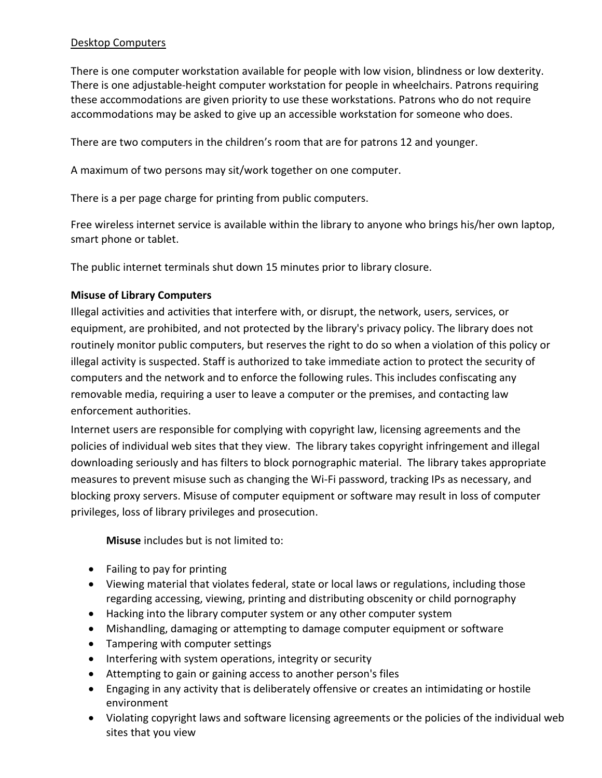## Desktop Computers

There is one computer workstation available for people with low vision, blindness or low dexterity. There is one adjustable-height computer workstation for people in wheelchairs. Patrons requiring these accommodations are given priority to use these workstations. Patrons who do not require accommodations may be asked to give up an accessible workstation for someone who does.

There are two computers in the children's room that are for patrons 12 and younger.

A maximum of two persons may sit/work together on one computer.

There is a per page charge for printing from public computers.

Free wireless internet service is available within the library to anyone who brings his/her own laptop, smart phone or tablet.

The public internet terminals shut down 15 minutes prior to library closure.

# **Misuse of Library Computers**

Illegal activities and activities that interfere with, or disrupt, the network, users, services, or equipment, are prohibited, and not protected by the library's privacy policy. The library does not routinely monitor public computers, but reserves the right to do so when a violation of this policy or illegal activity is suspected. Staff is authorized to take immediate action to protect the security of computers and the network and to enforce the following rules. This includes confiscating any removable media, requiring a user to leave a computer or the premises, and contacting law enforcement authorities.

Internet users are responsible for complying with copyright law, licensing agreements and the policies of individual web sites that they view. The library takes copyright infringement and illegal downloading seriously and has filters to block pornographic material. The library takes appropriate measures to prevent misuse such as changing the Wi-Fi password, tracking IPs as necessary, and blocking proxy servers. Misuse of computer equipment or software may result in loss of computer privileges, loss of library privileges and prosecution.

**Misuse** includes but is not limited to:

- Failing to pay for printing
- Viewing material that violates federal, state or local laws or regulations, including those regarding accessing, viewing, printing and distributing obscenity or child pornography
- Hacking into the library computer system or any other computer system
- Mishandling, damaging or attempting to damage computer equipment or software
- Tampering with computer settings
- Interfering with system operations, integrity or security
- Attempting to gain or gaining access to another person's files
- Engaging in any activity that is deliberately offensive or creates an intimidating or hostile environment
- Violating copyright laws and software licensing agreements or the policies of the individual web sites that you view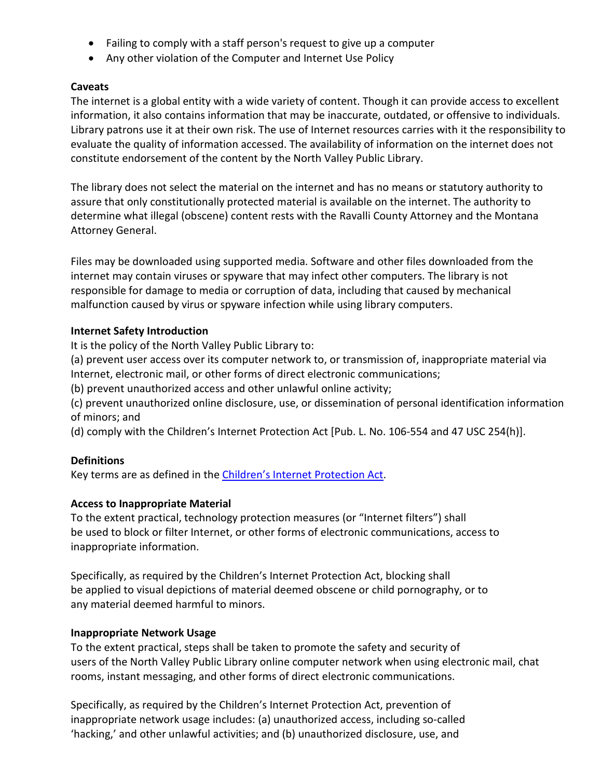- Failing to comply with a staff person's request to give up a computer
- Any other violation of the Computer and Internet Use Policy

## **Caveats**

The internet is a global entity with a wide variety of content. Though it can provide access to excellent information, it also contains information that may be inaccurate, outdated, or offensive to individuals. Library patrons use it at their own risk. The use of Internet resources carries with it the responsibility to evaluate the quality of information accessed. The availability of information on the internet does not constitute endorsement of the content by the North Valley Public Library.

The library does not select the material on the internet and has no means or statutory authority to assure that only constitutionally protected material is available on the internet. The authority to determine what illegal (obscene) content rests with the Ravalli County Attorney and the Montana Attorney General.

Files may be downloaded using supported media. Software and other files downloaded from the internet may contain viruses or spyware that may infect other computers. The library is not responsible for damage to media or corruption of data, including that caused by mechanical malfunction caused by virus or spyware infection while using library computers.

## **Internet Safety Introduction**

It is the policy of the North Valley Public Library to:

(a) prevent user access over its computer network to, or transmission of, inappropriate material via Internet, electronic mail, or other forms of direct electronic communications;

(b) prevent unauthorized access and other unlawful online activity;

(c) prevent unauthorized online disclosure, use, or dissemination of personal identification information of minors; and

(d) comply with the Children's Internet Protection Act [Pub. L. No. 106-554 and 47 USC 254(h)].

## **Definitions**

Key terms are as defined in the [Children's Internet Protection Act.](http://www.fcc.gov/guides/childrens-internet-protection-act)

## **Access to Inappropriate Material**

To the extent practical, technology protection measures (or "Internet filters") shall be used to block or filter Internet, or other forms of electronic communications, access to inappropriate information.

Specifically, as required by the Children's Internet Protection Act, blocking shall be applied to visual depictions of material deemed obscene or child pornography, or to any material deemed harmful to minors.

## **Inappropriate Network Usage**

To the extent practical, steps shall be taken to promote the safety and security of users of the North Valley Public Library online computer network when using electronic mail, chat rooms, instant messaging, and other forms of direct electronic communications.

Specifically, as required by the Children's Internet Protection Act, prevention of inappropriate network usage includes: (a) unauthorized access, including so-called 'hacking,' and other unlawful activities; and (b) unauthorized disclosure, use, and